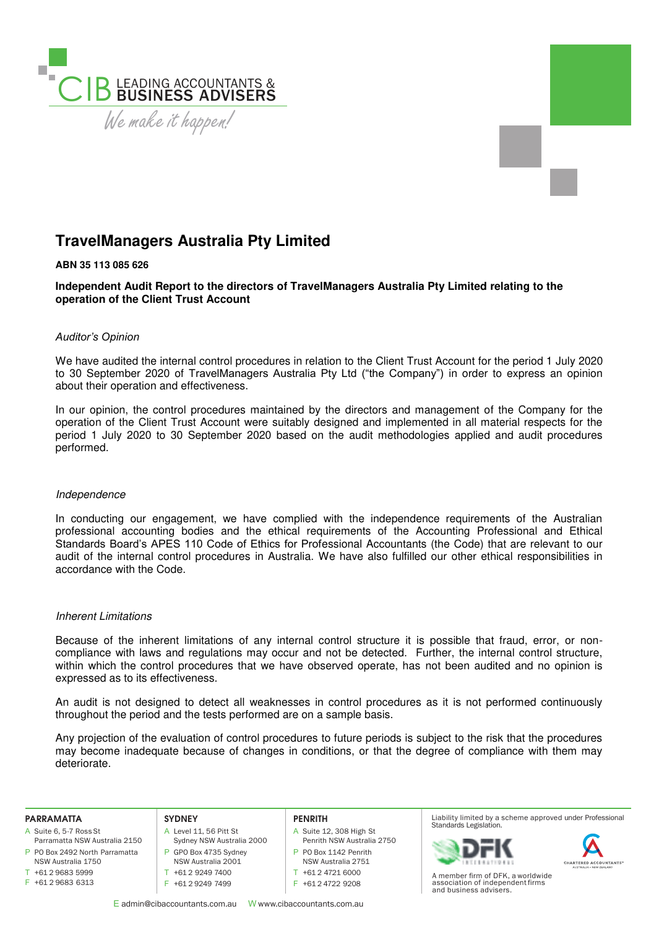

# **TravelManagers Australia Pty Limited**

# **ABN 35 113 085 626**

**Independent Audit Report to the directors of TravelManagers Australia Pty Limited relating to the operation of the Client Trust Account** 

### *Auditor's Opinion*

We have audited the internal control procedures in relation to the Client Trust Account for the period 1 July 2020 to 30 September 2020 of TravelManagers Australia Pty Ltd ("the Company") in order to express an opinion about their operation and effectiveness.

In our opinion, the control procedures maintained by the directors and management of the Company for the operation of the Client Trust Account were suitably designed and implemented in all material respects for the period 1 July 2020 to 30 September 2020 based on the audit methodologies applied and audit procedures performed.

#### Independence

In conducting our engagement, we have complied with the independence requirements of the Australian professional accounting bodies and the ethical requirements of the Accounting Professional and Ethical Standards Board's APES 110 Code of Ethics for Professional Accountants (the Code) that are relevant to our audit of the internal control procedures in Australia. We have also fulfilled our other ethical responsibilities in accordance with the Code.

## Inherent Limitations

Because of the inherent limitations of any internal control structure it is possible that fraud, error, or noncompliance with laws and regulations may occur and not be detected. Further, the internal control structure, within which the control procedures that we have observed operate, has not been audited and no opinion is expressed as to its effectiveness.

An audit is not designed to detect all weaknesses in control procedures as it is not performed continuously throughout the period and the tests performed are on a sample basis.

Any projection of the evaluation of control procedures to future periods is subject to the risk that the procedures may become inadequate because of changes in conditions, or that the degree of compliance with them may deteriorate.

#### **PARRAMATTA**

- A Suite 6, 5-7 Ross St
- P PO Box 2492 North Parramatta Parramatta NSW Australia 2150
- NSW Australia 1750 T +61 2 9683 5999
- F +61 2 9683 6313

#### **SYDNEY**

- A Level 11, 56 Pitt St Sydney NSW Australia 2000 P GPO Box 4735 Sydney NSW Australia 2001
- T +61 2 9249 7400

# F +61 2 9249 7499

#### **PENRITH**

A Suite 12, 308 High St Penrith NSW Australia 2750 P PO Box 1142 Penrith NSW Australia 2751

T +61 2 4721 6000

F +61 2 4722 9208

E admin@cibaccountants.com.au W www.cibaccountants.com.au

Liability limited by a scheme approved under Professional Standards Legislation.





A member firm of DFK, a worldwide association of independent firms and business advisers.